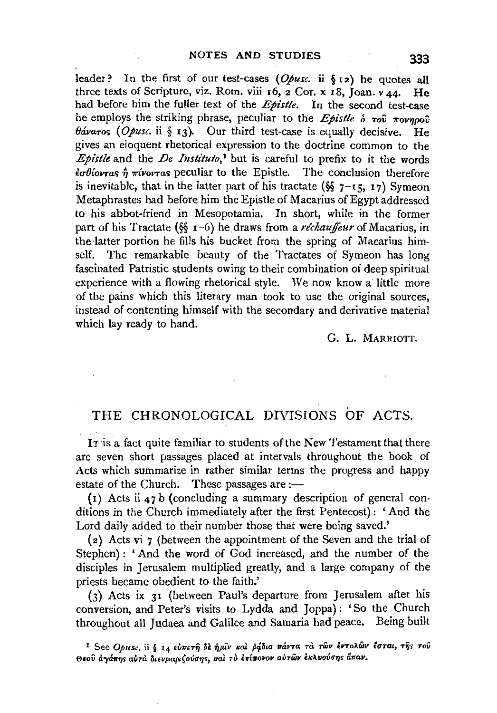leader? In the first of our test-cases  $(Opusc, ii \t{5z})$  he quotes all three texts of Scripture, viz. Rom. viii  $16$ ,  $2$  Cor. x  $18$ , Joan. v  $44$ . He had before him the fuller text of the *Epistle.* In the second test-case he employs the striking phrase, peculiar to the *Epistle*  $\delta$  *Tov Tovnpoov*  $\theta$ áva<sub>T</sub>os (*Opusc*. ii § 13). Our third test-case is equally decisive. He gives an eloquent rhetorical expression to the doctrine common to the *Epistle* and the *De Instituto*,<sup>1</sup> but is careful to prefix to it the words  $\frac{d\sigma}{dx}$  *<sup>2</sup>u tivovras* peculiar to the Epistle. The conclusion therefore is inevitable, that in the latter part of his tractate ( $\S$   $7$ -15, 17) Symeon Metaphrastes had before him the Epistle of Macarius of Egypt addressed to his abbot-friend in Mesopotamia. In short, while in the former part of his Tractate (§§ 1–6) he draws from a *réchauffeur* of Macarius, in the latter portion he fills his bucket from the spring of Macarius himself. The remarkable beauty of the Tractates of Symeon has long fascinated Patristic students owing to their combination of deep spiritual experience with a flowing rhetorical style. We now know a little more of the pains which this literary man took to use the original sources, instead of contenting himself with the secondary and derivative material which lay ready to hand.

G. L. MARRIOTT.

## THE CHRONOLOGICAL DIVISIONS OF ACTS.

IT is a fact quite familiar to students of the New Testament that there are seven short passages placed at intervals throughout the book of Acts which summarize in rather similar terms the progress and happy estate of the Church. These passages are  $:$ 

( $i$ ) Acts ii 47 b (concluding a summary description of general conditions in the Church immediately after the first Pentecost): 'And the Lord daily added to their number those that were being saved.'

(2) Acts vi 7 (between the appointment of the Seven and the trial of Stephen): 'And the word of God increased, and the number of the disciples in Jerusalem multiplied greatly, and a large company of the priests became obedient to the faith.'

(3) Acts ix 31 (between Paul's departure from Jerusalem after his conversion, and Peter's visits to Lydda and Joppa): 'So the Church throughout all Judaea and Galilee and Samaria had peace. Being built

<sup>1</sup> See *Opusc.* ii § 14 εύπετη δε ήμιν και βάδια πάντα τα των εντολών έσται, της του  $\Theta$ εού αγάπης αυτα διευμαριζούσης, και το επίπονον αυτών εκλυούσης άπαν.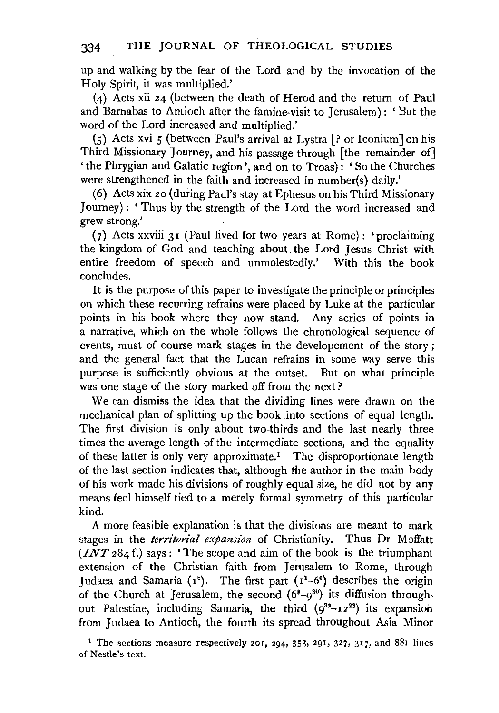up and walking by the fear of the Lord and by the invocation of the Holy Spirit, it was multiplied.'

(4) Acts xii 24 (between the death of Herod and the return of Paul and Barnabas to Antioch after the famine-visit to Jerusalem) : ' But the word of the Lord increased and multiplied.'

(5) Acts xvi 5 (between Paul's arrival at Lystra [? or !conium Jon his Third Missionary Journey, and his passage through [the remainder of] 'the Phrygian and Galatic region', and on to Troas): 'So the Churches were strengthened in the faith and increased in number(s) daily.'

(6) Acts xix 20 (during Paul's stay at Ephesus on his Third Missionary Journey): 'Thus by the strength of the Lord the word increased and grew strong.'

(7) Acts xxviii 31 (Paul lived for two years at Rome): 'proclaiming the kingdom of God and teaching about the Lord Jesus Christ with entire freedom of speech and unmolestedly.' With this the book concludes.

It is the purpose of this paper to investigate the principle or principles on which these recurring refrains were placed by Luke at the particular points in his book where they now stand. Any series of points in a narrative, which on the whole follows the chronological sequence of events, must of course mark stages in the developement of the story ; and the general fact that tbe Lucan refrains in some way serve this purpose is sufficiently obvious at the outset. But on what principle was one stage of the story marked off from the next?

We can dismiss the idea that the dividing lines were drawn on the mechanical plan of splitting up the book .into sections of equal length. The first division is only about two-thirds and the last nearly three times the average length of the intermediate sections, and the equality of these latter is only very approximate.! The disproportionate length of the last section indicates that, although the author in the main body of his work made his divisions of roughly equal size, he did not by any means feel himself tied to a merely formal symmetry of this particular kind.

A more feasible explanation is that the divisions are meant to mark stages in the *territorial expansion* of Christianity. Thus Dr Moffatt *(INT* 284 f.) says: 'The scope and aim of the book is the triumphant extension of the Christian faith from Jerusalem to Rome, through Judaea and Samaria ( $r^8$ ). The first part ( $r^1$ -6<sup>6</sup>) describes the origin of the Church at Jerusalem, the second  $(6<sup>8</sup>-9<sup>30</sup>)$  its diffusion throughout Palestine, including Samaria, the third  $(9^{32}-12^{23})$  its expansion from Judaea to Antioch, the fourth its spread throughout Asia Minor

<sup>1</sup> The sections measure respectively 201, 294, 353, 291, 327, 317, and 881 lines of Nestle's text.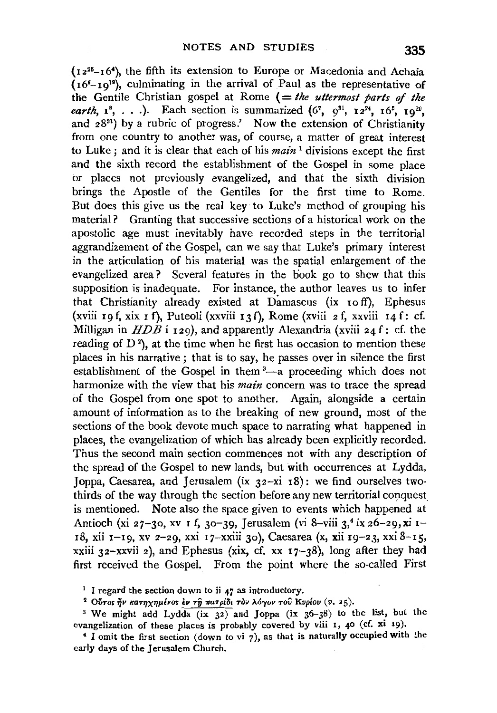$(12^{25}-16^4)$ , the fifth its extension to Europe or Macedonia and Achaia  $(16<sup>6</sup>-19)<sup>19</sup>$ , culminating in the arrival of Paul as the representative of the Gentile Christian gospel at Rome (= *the uttermost parts of the earth*,  $1^{8}$ , ...). Each section is summarized  $(6^{7}$ ,  $9^{31}$ ,  $12^{24}$ ,  $16^{5}$ ,  $19^{20}$ , and  $28^{31}$ ) by a rubric of progress.' Now the extension of Christianity from one country to another was, of course, a matter of great interest to Luke; and it is clear that each of his *main* 1 divisions except the first and the sixth record the establishment of the Gospel in some place or places not previously evangelized, and that the sixth division brings the Apostle of the Gentiles for the first time to Rome. But does this give us the real key to Luke's method of grouping his material? Granting that successive sections of a historical work on the apostolic age must inevitably have recorded steps in the territorial aggrandizement of the Gospel, can we say that Luke's primary interest in the articulation of his material was the spatial enlargement of the evangelized area? Several features in the book go to shew that this supposition is inadequate. For instance, the author leaves us to infer that Christianity already existed at Damascus (ix Io ff), Ephesus (xviii 19 f, xix 1 f), Puteoli (xxviii 13 f), Rome (xviii 2 f, xxviii 14 f: cf. Milligan in  $H\overrightarrow{DB}$  i 129), and apparently Alexandria (xviii 24 f: cf. the reading of  $D^2$ ), at the time when he first has occasion to mention these places in his narrative; that is to say, he passes over in silence the first places in his harrative; that is to say, he passes over in shelle the first establishment of the Gospel in them  $3-$ a proceeding which does not harmonize with the view that his *main* concern was to trace the spread of the Gospel from one spot to another. Again, alongside a certain amount of information as to the breaking of new ground, most of the sections of the book devote much space to narrating what happened in places, the evangelization of which has already been explicitly recorded. Thus the second main section commences not with any description of the spread of the Gospel to new lands, but with occurrences at Lydda, Joppa, Caesarea, and Jerusalem (ix 32-xi I8): we find ourselves twothirds of the way through the section before any new territorial conquest. is mentioned. Note also the space given to events which happened at Antioch (xi 27-30, xv I f, 30-39, Jerusalem (vi 8-viii 3,<sup>4</sup> ix 26-29, xi I-18, xii 1-19, xv 2-29, xxi 17-xxiii 30), Caesarea (x, xii 19-23, xxi 8-15, xxiii 32-xxvii 2), and Ephesus (xix, cf. xx  $17-38$ ), long after they had first received the Gospel. From the point where the so-called First

<sup>1</sup> I regard the section down to ii 47 as introductory.<br><sup>2</sup> Ovros ήν κατηχημένοs έν τῆ πατρίδι τὸν λόγον τοῦ Κυρίου (υ. 25).

<sup>3</sup> We might add Lydda (ix 32) and Joppa (ix 36-38) to the list, but the evangelization of these places is probably covered by viii 1, 40 (cf. xi 19).

 $\pm$  I omit the first section (down to vi 7), as that is naturally occupied with the early days of the Jerusalem Church.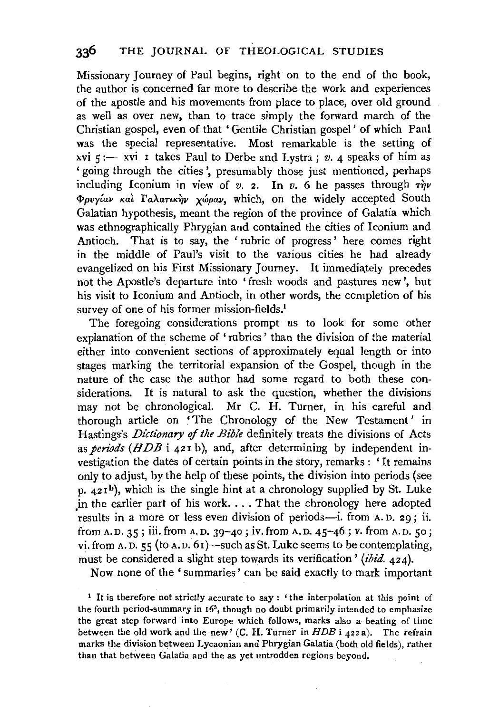Missionary Journey of Paul begins, right on to the end of the book, the author is concerned far more to describe the work and experiences of the apostle and his movements from place to place, over old ground as well as over new, than to trace simply the forward march of the Christian gospel, even of that 'Gentile Christian gospel ' of which Paul was the special representative. Most remarkable is the setting of xvi 5 :- xvi 1 takes Paul to Derbe and Lystra ; *v.* 4 speaks of him as 'going through the cities', presumably those just mentioned, perhaps including Iconium in view of  $v$ . 2. In  $v$ . 6 he passes through  $\tau \dot{m}v$  $\Phi$ *pvy*(av kai  $\Gamma$ aλaτικήν χώραν, which, on the widely accepted South Galatian hypothesis, meant the region of the province of Galatia which was ethnographically Phrygian and contained the cities of Iconium and Antioch. That is to say, the 'rubric of progress' here comes right in the middle of Paul's visit to the various cities he had already evangelized on his First Missionary Journey. It immediately precedes not the Apostle's departure into 'fresh woods and pastures new', but his visit to Iconium and Antioch, in other words, the completion of his survey of one of his former mission-fields.<sup>1</sup>

The foregoing considerations prompt us to look for some other explanation of the scheme of' rubrics' than the division of the material either into convenient sections of approximately equal length or into stages marking the territorial expansion of the Gospel, though in the nature of the case the author had some regard to both these considerations. It is natural to ask the question, whether the divisions may not be chronological. Mr C. H. Turner, in his careful and thorough article on 'The Chronology of the New Testament' in Hastings's *Dictionary* of *the Bible* definitely treats the divisions of Acts as *periods* (HDB i 421 b), and, after determining by independent investigation the dates of certain points in the story, remarks: 'It remains only to adjust, by the help of these points, the division into periods (see p. 421b), which is the single hint at a chronology supplied by St. Luke in the earlier part of his work. . . . That the chronology here adopted results in a more or less even division of periods-i. from A.D. 29; ii. from A.D. 35; iii. from A.D. 39-40; iv. from A.D. 45-46; v. from A.D. 50; vi. from A.D. 55 (to A.D. 61)-such as St. Luke seems to be contemplating, must be considered a slight step towards its verification' (ibid. 424).

Now none of the 'summaries' can be said exactly to mark important

<sup>1</sup> It is therefore not strictly accurate to say: 'the interpolation at this point of the fourth period-summary in 165, though no doubt primarily intended to emphasize the great step forward into Europe which follows, marks also a beating of time between the old work and the new' (C. H. Turner in *HDB* i 422 a). The refrain marks the division between Lycaonian and Phrygian Galatia (both old fields), rather than that between Galatia and the as yet untrodden regions beyond.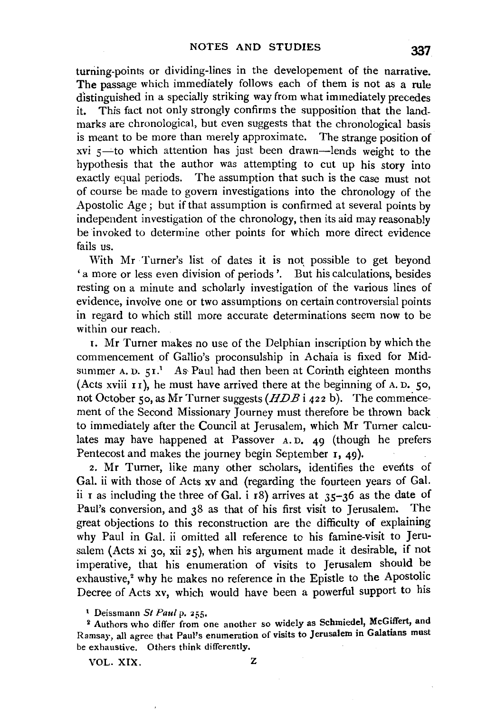turning-points or dividing-lines in the developement of the narrative. The passage which immediately follows each of them is not as a rule distinguished in a specially striking way from what immediately precedes it. This fact not only strongly confirms the supposition that the landmarks are chronological, but even suggests that the chronological basis is meant to be more than merely approximate. The strange position of  $xvi$   $s$ —to which attention has just been drawn—lends weight to the hypothesis that the author was attempting to cut up his story into exactly equal periods. The assumption that such is the case must not of course be made to govern investigations into the chronology of the Apostolic Age ; but if that assumption is confirmed at several points by independent investigation of the chronology, then its aid may reasonably be invoked to determine other points for which more direct evidence fails us.

With Mr Turner's list of dates it is not possible to get beyond 'a more or less even division of periods '. But his calculations, besides resting on a minute and scholarly investigation of the various lines of evidence, involve one or two assumptions on certain controversial points in regard to which still more accurate determinations seem now to be within our reach.

1. Mr Turner makes no use of the Delphian inscription by which the commencement of Gallio's proconsulship in Achaia is fixed for Midsummer A. D.  $51$ .<sup>1</sup> As-Paul had then been at Corinth eighteen months (Acts xviii  $I_1$ ), he must have arrived there at the beginning of A. D. 50, not October 50, as Mr Turner suggests  $(HDB \nvert 422 \nvert b)$ . The commencement of the Second Missionary Journey must therefore be thrown back to immediately after the Council at Jerusalem, which Mr Turner calculates may have happened at Passover A.D. 49 (though he prefers Pentecost and makes the journey begin September 1, 49).

2. Mr Turner, like many other scholars, identifies the events of Gal. ii with those of Acts xv and (regarding the fourteen years of Gal. ii I as including the three of Gal. i  $\overline{18}$  arrives at 35-36 as the date of Paul's conversion, and 38 as that of his first visit to Jerusalem. The great objections to this reconstruction are the difficulty of explaining why Paul in Gal. ii omitted all reference to his famine-visit to Jerusalem (Acts xi 30, xii 25), when his argument made it desirable, if not imperative, that his enumeration of visits to Jerusalem should be exhaustive,<sup>2</sup> why he makes no reference in the Epistle to the Apostolic Decree of Acts xv, which would have been a powerful support to his

VOL. XIX. z

<sup>&</sup>lt;sup>1</sup> Deissmann *St Paul* p. 255.<br><sup>2</sup> Authors who differ from one another so widely as Schmiedel, McGiffert, and Ramsay, all agree that Paul's enumeration of visits to Jerusalem in Galatians must be exhaustive. Others think differently.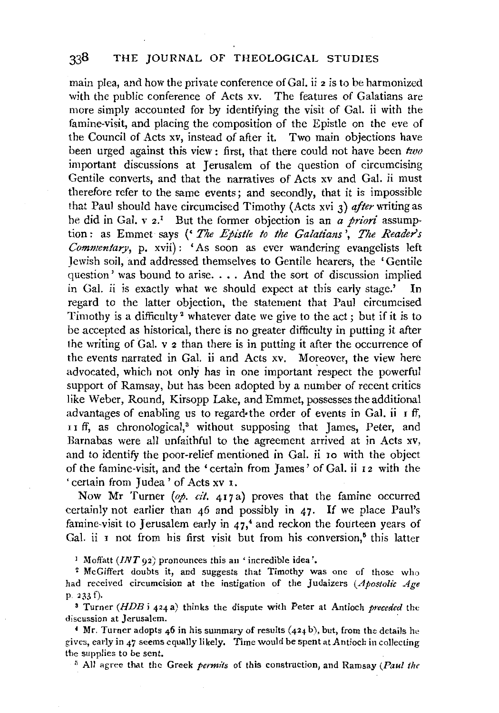## 338 THE JOURNAL OF THEOLOGICAL STUDIES

main plea, and how the private conference of Gal. ii 2 is to be harmonized with the public conference of Acts xv. The features of Galatians are more simply accounted for by identifying the visit of Gal. ii with the famine-visit, and placing the composition of the Epistle on the eve of the Council of Acts xv, instead of after it. Two main objections have been urged against this view: first, that there could not have been *two*  important discussions at Jerusalem of the question of circumcising Gentile converts, and that the narratives of Acts xv and Gal. ii must therefore refer to the same events; and secondly, that it is impossible that Paul should have circumcised Timothy (Acts xvi 3) *after* writing as he did in Gal. v 2.1 But the former objection is an *a priori* assumption: as Emmet says (' *The Epistle to the Galatians', The Readers Commentary*, p. xvii): 'As soon as ever wandering evangelists left Jewish soil, and addressed themselves to Gentile hearers, the 'Gentile question' was bound to arise.... And the sort of discussion implied<br>in Gal. ii is exactly what we should expect at this early stage.' In in Gal. ii is exactly what we should expect at this early stage.' regard to the latter objection, the statement that Paul circumcised Timothy is a difficulty 2 whatever date we give to the act; but if it is to be accepted as historical, there is no greater difficulty in putting it after the writing of Gal. v 2 than there is in putting it after the occurrence of the events narrated in Gal. ii and Acts xv. Moreover, the view here advocated, which not only has in one important 'respect the powerful support of Ramsay, but has been adopted by a number of recent critics like Weber, Round, Kirsopp Lake, and Emmet, possesses the additional advantages of enabling us to regard• the order of events in Gal. ii  $\bar{I}$  if, II ff, as chronological,<sup>3</sup> without supposing that James, Peter, and Barnabas were all unfaithful to the agreement arrived at in Acts xv, and to identify the poor-relief mentioned in Gal. ii Io with the object of the famine-visit, and the 'certain from James' of Gal. ii I 2 with the ' certain from Judea ' of Acts xv I.

Now Mr Turner (op. cit. 417a) proves that the famine occurred certainly not earlier than  $46$  and possibly in  $47$ . If we place Paul's famine-visit to Jerusalem early in  $47<sup>4</sup>$  and reckon the fourteen years of Gal. ii  $I$  not from his first visit but from his conversion,<sup> $5$ </sup> this latter

<sup>1</sup> Moffatt ( $INT$  92) pronounces this an 'incredible idea'.<br><sup>2</sup> McGiffert doubts it, and suggests that Timothy was one of those who had received circumcision at the instigation of the Judaizers *(Apostolic Age*  p. 233 f). 3 Turner *(HDB* i 424 a) thinks the dispute with Peter at Antioch *preceded* the

discussion at Jerusalem.

 $4$  Mr. Turner adopts 46 in his summary of results  $(424 b)$ , but, from the details he gives, early in 47 seems equally likely. *Time* would *be* spent at Antioch in collecting the supplies to be sent.

<sup>5</sup> All agree that the Greek *permits* of this construction, and Ramsay *(Paul the*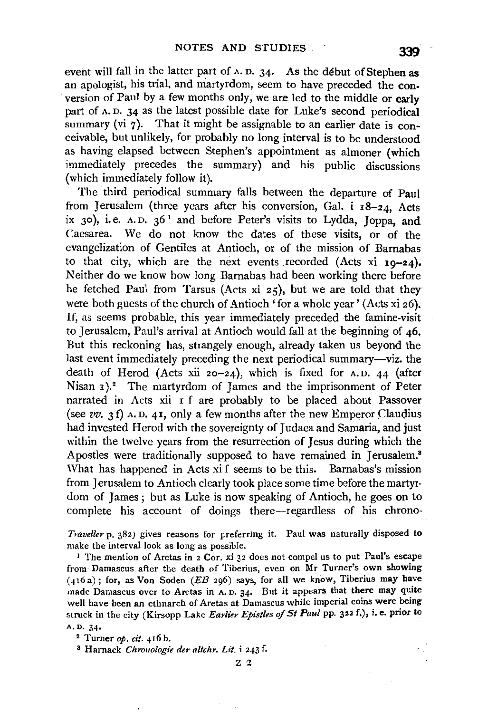event will fall in the latter part of A. D. 34· As the debut of Stephen as an apologist, his trial, and martyrdom, seem to have preceded the con version of Paul by a few months only, we are led to the middle or early part of A. D. 34 as the latest possible date for Luke's second periodical summary (vi 7). That it might be assignable to an earlier date is conceivable, but unlikely, for probably no long interval is to be understood as having elapsed between Stephen's appointment as almoner (which immediately precedes the summary) and his public discussions (which immediately follow it).

The third periodical summary falls between the departure of Paul from Jerusalem (three years after his conversion, Gal. i 18-24, Acts ix 30), i.e.  $A.D. 36<sup>1</sup>$  and before Peter's visits to Lydda, Joppa, and Caesarea. We do not know the dates of these visits, or of the evangelization of Gentiles at Antioch, or of the mission of Barnabas to that city, which are the next events recorded (Acts xi  $10-24$ ). Neither do we know how long Barnabas had been working there before he fetched Paul from Tarsus (Acts xi  $25$ ), but we are told that they were both guests of the church of Antioch 'for a whole year' (Acts xi 26). If, as seems probable, this year immediately preceded the famine-visit to Jerusalem, Paul's arrival at Antioch would fall at the beginning of 46. But this reckoning has, strangely enough, already taken us beyond the last event immediately preceding the next periodical summary-viz. the death of Herod (Acts xii  $20-24$ ), which is fixed for A.D. 44 (after Nisan 1).<sup>2</sup> The martyrdom of James and the imprisonment of Peter narrated in Acts xii r f are probably to be placed about Passover (see *vv.* 3 f) A. D. 41, only a few months after the new Emperor Claudius had invested Herod with the sovereignty of Judaea and Samaria, and just within the twelve years from the resurrection of Jesus during which the Apostles were traditionally supposed to have remained in Jerusalem.<sup>3</sup> What has happened in Acts xi f seems to be this. Barnabas's mission from Jerusalem to Antioch clearly took place some time before the martyrdom of James; but as Luke is now speaking of Antioch, he goes on to complete his account of doings there-regardless of his chrono-

*Traveller* p. 382) gives reasons for preferring it. Paul was naturally disposed to make the interval look as long as possible.

<sup>1</sup> The mention of Aretas in 2 Cor, xi 32 does not compel us to put Paul's escape from Damascus after the death of Tiberius, even on Mr Turner's own showing  $(416a)$ ; for, as Von Soden (EB 296) says, for all we know, Tiberius may have made Damascus over to Aretas in A. D. 34· But it appears that there may quite well have been an ethnarch of Aretas at Damascus while imperial coins were being struck in the city (Kirsopp Lake *Earlier Epistles of St Paul* pp. 322 f.), i.e. prior to A,D. 34•

<sup>2</sup> Turner *op. cit.* 416 b.<br><sup>8</sup> Harnack *Chronologie der altchr. Lit.* i 243 f.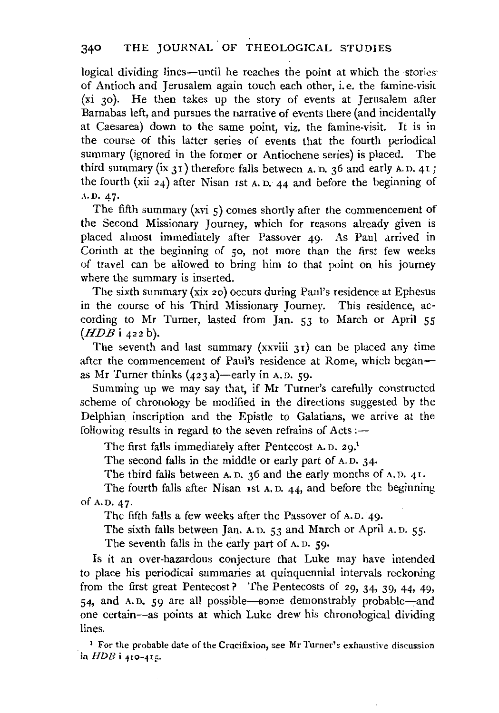logical dividing lines—until he reaches the point at which the stories of Antioch and Jerusalem again touch each other, i.e. the famine-visit (xi 30). He then takes up the story of events at Jerusalem after Barnabas left, and pursues the narrative of events there (and incidentally at Caesarea) down to the same point, viz. the famine-visit. It is in the course of this latter series of events that the fourth periodical summary (ignored in the former or Antiochene series) is placed. The third summary (ix 31) therefore falls between A. D. 36 and early A.D. 41; the fourth (xii 24) after Nisan rst A. D. 44 and before the beginning of A.D. 47·

The fifth summary (xvi  $\varsigma$ ) comes shortly after the commencement of the Second Missionary Journey, which for reasons already given is placed almost immediately after Passover 49. As Paul arrived in Corinth at the beginning of so, not more than the first few weeks of travel can be allowed to bring him to that point on his journey where the summary is inserted.

The sixth summary (xix 2o) occurs during Paul's residence at Ephesus in the course of his Third Missionary Journey. This residence, according to Mr Turner, lasted from Jan. 53 to March or April 55 *(HDB* i 422 b).

The seventh and last summary  $(xxviii 31)$  can be placed any time after the commencement of Paul's residence at Rome, which beganas Mr Turner thinks  $(423 a)$ -early in A.D. 59.

Summing up we may say that, if Mr Turner's carefully constructed scheme of chronology be modified in the directions suggested by the Delphian inscription and the Epistle to Galatians, we arrive at the following results in regard to the seven refrains of  $Acts$ :-

The first falls immediately after Pentecost A.D. 29.<sup>1</sup>

The second falls in the middle or early part of A. D. 34·

The third falls between A.D. 36 and the early months of A.D. 41.

The fourth falls after Nisan rst A. D. 44, and before the beginning of A.D. 47·

The fifth falls a few weeks after the Passover of A. D. 49·

The sixth falls between Jan. A. D. 53 and March or April A. D. 55.

The seventh falls in the early part of A. D. 59·

Is it an over-hazardous conjecture that Luke may have intended to place his periodical summaries at quinquennial intervals reckoning from the first great Pentecost? The Pentecosts of 29, 34, 39, 44, 49, 54, and A.D. 59 are all possible-some demonstrably probable-and one certain-as points at which Luke drew his chronological dividing lines.

<sup>1</sup> For the probable date of the Crucifixion, see Mr Turner's exhaustive discussion in *HDB* **i** 410-415.